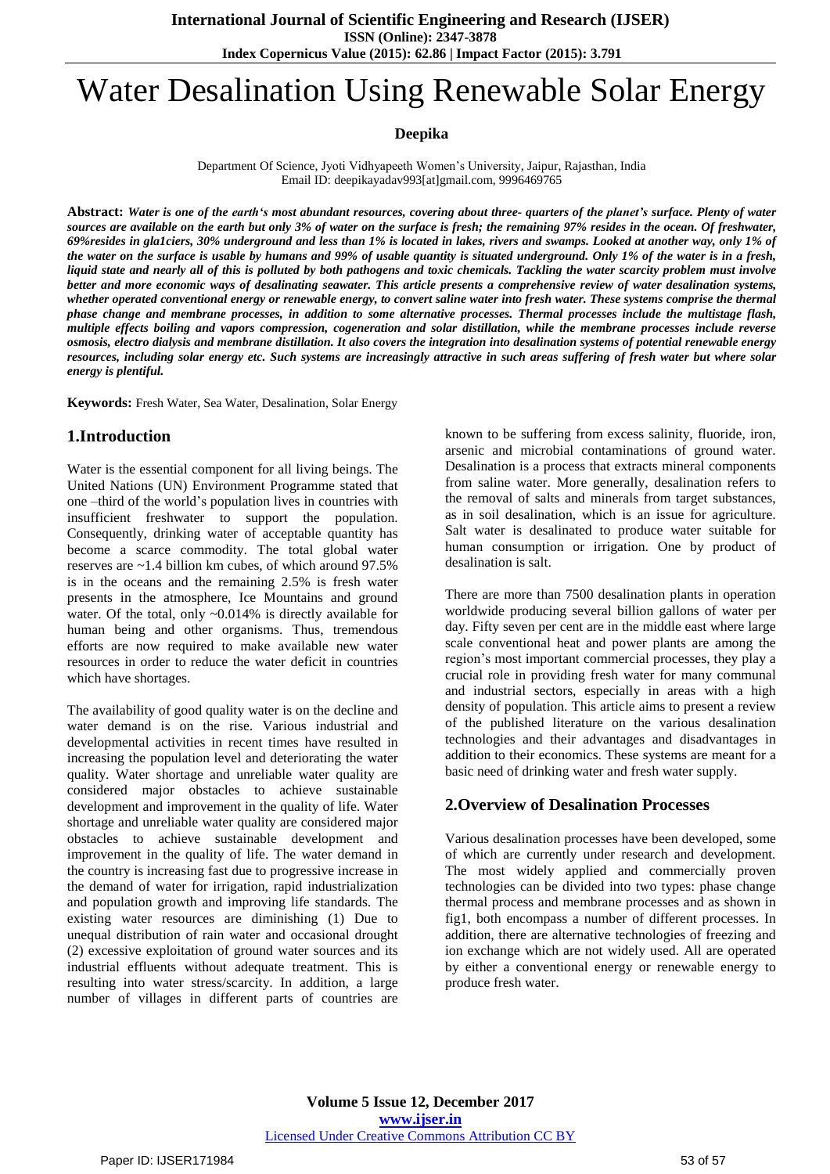# Water Desalination Using Renewable Solar Energy

## **Deepika**

Department Of Science, Jyoti Vidhyapeeth Women's University, Jaipur, Rajasthan, India Email ID: deepikayaday993[at]gmail.com, 9996469765

Abstract: Water is one of the earth's most abundant resources, covering about three- quarters of the planet's surface. Plenty of water sources are available on the earth but only 3% of water on the surface is fresh; the remaining 97% resides in the ocean. Of freshwater, 69% resides in gla1ciers, 30% underground and less than 1% is located in lakes, rivers and swamps. Looked at another way, only 1% of the water on the surface is usable by humans and 99% of usable quantity is situated underground. Only 1% of the water is in a fresh, liquid state and nearly all of this is polluted by both pathogens and toxic chemicals. Tackling the water scarcity problem must involve better and more economic ways of desalinating seawater. This article presents a comprehensive review of water desalination systems, whether operated conventional energy or renewable energy, to convert saline water into fresh water. These systems comprise the thermal phase change and membrane processes, in addition to some alternative processes. Thermal processes include the multistage flash, multiple effects boiling and vapors compression, cogeneration and solar distillation, while the membrane processes include reverse osmosis, electro dialysis and membrane distillation. It also covers the integration into desalination systems of potential renewable energy resources, including solar energy etc. Such systems are increasingly attractive in such areas suffering of fresh water but where solar *energy is plentiful.*

**Keywords:** Fresh Water, Sea Water, Desalination, Solar Energy

# **1.Introduction**

Water is the essential component for all living beings. The United Nations (UN) Environment Programme stated that one –third of the world's population lives in countries with insufficient freshwater to support the population. Consequently, drinking water of acceptable quantity has become a scarce commodity. The total global water reserves are ~1.4 billion km cubes, of which around 97.5% is in the oceans and the remaining 2.5% is fresh water presents in the atmosphere, Ice Mountains and ground water. Of the total, only ~0.014% is directly available for human being and other organisms. Thus, tremendous efforts are now required to make available new water resources in order to reduce the water deficit in countries which have shortages.

The availability of good quality water is on the decline and water demand is on the rise. Various industrial and developmental activities in recent times have resulted in increasing the population level and deteriorating the water quality. Water shortage and unreliable water quality are considered major obstacles to achieve sustainable development and improvement in the quality of life. Water shortage and unreliable water quality are considered major obstacles to achieve sustainable development and improvement in the quality of life. The water demand in the country is increasing fast due to progressive increase in the demand of water for irrigation, rapid industrialization and population growth and improving life standards. The existing water resources are diminishing (1) Due to unequal distribution of rain water and occasional drought (2) excessive exploitation of ground water sources and its industrial effluents without adequate treatment. This is resulting into water stress/scarcity. In addition, a large number of villages in different parts of countries are

known to be suffering from excess salinity, fluoride, iron, arsenic and microbial contaminations of ground water. Desalination is a process that extracts mineral components from saline water. More generally, desalination refers to the removal of salts and minerals from target substances, as in soil desalination, which is an issue for agriculture. Salt water is desalinated to produce water suitable for human consumption or irrigation. One by product of desalination is salt.

There are more than 7500 desalination plants in operation worldwide producing several billion gallons of water per day. Fifty seven per cent are in the middle east where large scale conventional heat and power plants are among the region's most important commercial processes, they play a crucial role in providing fresh water for many communal and industrial sectors, especially in areas with a high density of population. This article aims to present a review of the published literature on the various desalination technologies and their advantages and disadvantages in addition to their economics. These systems are meant for a basic need of drinking water and fresh water supply.

## **2.Overview of Desalination Processes**

Various desalination processes have been developed, some of which are currently under research and development. The most widely applied and commercially proven technologies can be divided into two types: phase change thermal process and membrane processes and as shown in fig1, both encompass a number of different processes. In addition, there are alternative technologies of freezing and ion exchange which are not widely used. All are operated by either a conventional energy or renewable energy to produce fresh water.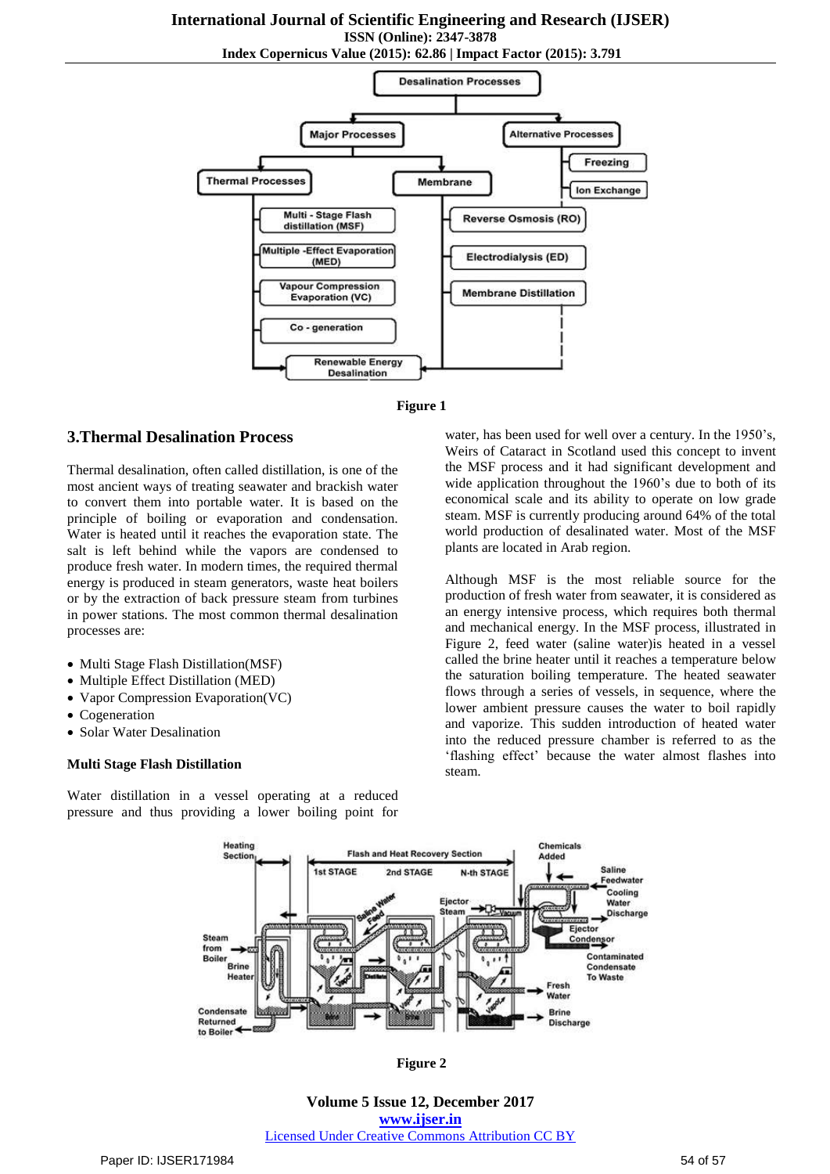# **International Journal of Scientific Engineering and Research (IJSER)**

**ISSN (Online): 2347-3878**

**Index Copernicus Value (2015): 62.86 | Impact Factor (2015): 3.791**





## **3.Thermal Desalination Process**

Thermal desalination, often called distillation, is one of the most ancient ways of treating seawater and brackish water to convert them into portable water. It is based on the principle of boiling or evaporation and condensation. Water is heated until it reaches the evaporation state. The salt is left behind while the vapors are condensed to produce fresh water. In modern times, the required thermal energy is produced in steam generators, waste heat boilers or by the extraction of back pressure steam from turbines in power stations. The most common thermal desalination processes are:

- Multi Stage Flash Distillation(MSF)
- Multiple Effect Distillation (MED)
- Vapor Compression Evaporation(VC)
- Cogeneration
- Solar Water Desalination

#### **Multi Stage Flash Distillation**

Water distillation in a vessel operating at a reduced pressure and thus providing a lower boiling point for

water, has been used for well over a century. In the 1950's, Weirs of Cataract in Scotland used this concept to invent the MSF process and it had significant development and wide application throughout the 1960's due to both of its economical scale and its ability to operate on low grade steam. MSF is currently producing around 64% of the total world production of desalinated water. Most of the MSF plants are located in Arab region.

Although MSF is the most reliable source for the production of fresh water from seawater, it is considered as an energy intensive process, which requires both thermal and mechanical energy. In the MSF process, illustrated in Figure 2, feed water (saline water)is heated in a vessel called the brine heater until it reaches a temperature below the saturation boiling temperature. The heated seawater flows through a series of vessels, in sequence, where the lower ambient pressure causes the water to boil rapidly and vaporize. This sudden introduction of heated water into the reduced pressure chamber is referred to as the 'flashing effect' because the water almost flashes into steam.



**Figure 2**

**Volume 5 Issue 12, December 2017 <www.ijser.in>** [Licensed Under Creative Commons Attribution CC BY](http://creativecommons.org/licenses/by/4.0/)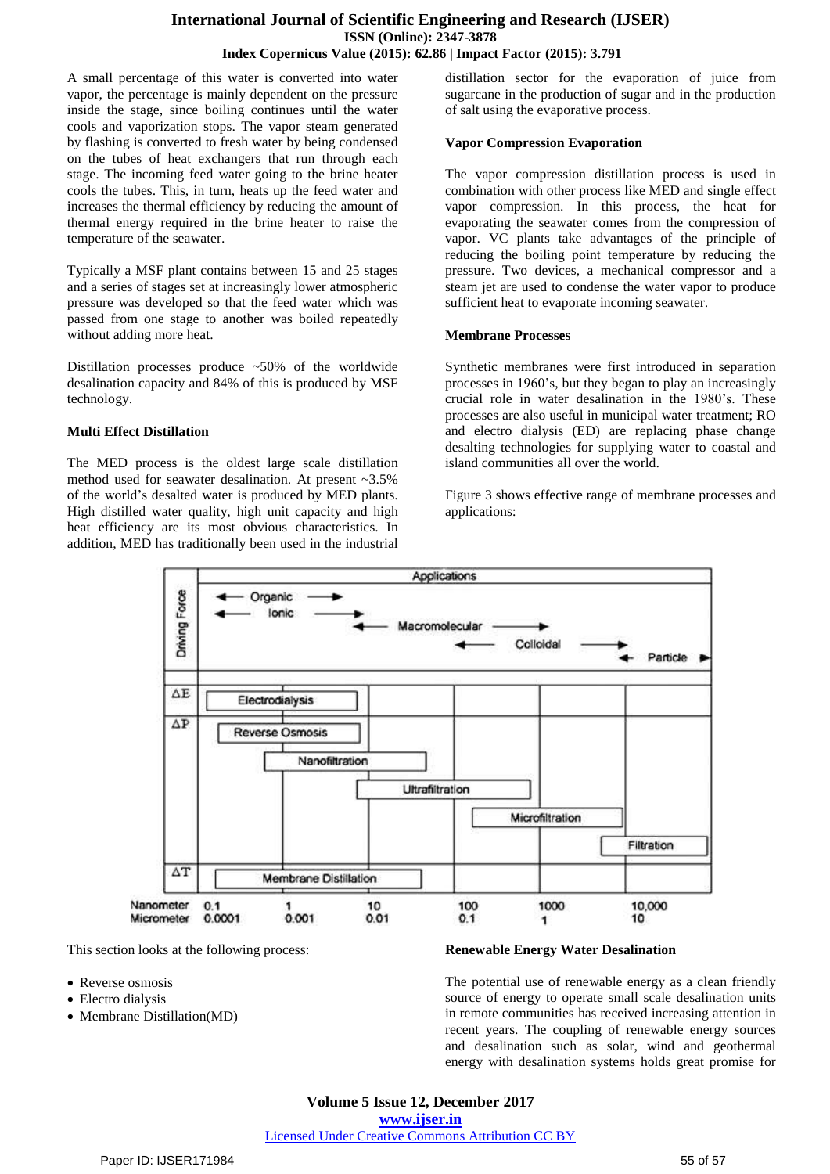A small percentage of this water is converted into water vapor, the percentage is mainly dependent on the pressure inside the stage, since boiling continues until the water cools and vaporization stops. The vapor steam generated by flashing is converted to fresh water by being condensed on the tubes of heat exchangers that run through each stage. The incoming feed water going to the brine heater cools the tubes. This, in turn, heats up the feed water and increases the thermal efficiency by reducing the amount of thermal energy required in the brine heater to raise the temperature of the seawater.

Typically a MSF plant contains between 15 and 25 stages and a series of stages set at increasingly lower atmospheric pressure was developed so that the feed water which was passed from one stage to another was boiled repeatedly without adding more heat.

Distillation processes produce  $\sim$  50% of the worldwide desalination capacity and 84% of this is produced by MSF technology.

## **Multi Effect Distillation**

The MED process is the oldest large scale distillation method used for seawater desalination. At present ~3.5% of the world's desalted water is produced by MED plants. High distilled water quality, high unit capacity and high heat efficiency are its most obvious characteristics. In addition, MED has traditionally been used in the industrial

distillation sector for the evaporation of juice from sugarcane in the production of sugar and in the production of salt using the evaporative process.

## **Vapor Compression Evaporation**

The vapor compression distillation process is used in combination with other process like MED and single effect vapor compression. In this process, the heat for evaporating the seawater comes from the compression of vapor. VC plants take advantages of the principle of reducing the boiling point temperature by reducing the pressure. Two devices, a mechanical compressor and a steam jet are used to condense the water vapor to produce sufficient heat to evaporate incoming seawater.

## **Membrane Processes**

Synthetic membranes were first introduced in separation processes in 1960's, but they began to play an increasingly crucial role in water desalination in the 1980's. These processes are also useful in municipal water treatment; RO and electro dialysis (ED) are replacing phase change desalting technologies for supplying water to coastal and island communities all over the world.

Figure 3 shows effective range of membrane processes and applications:



This section looks at the following process:

- Reverse osmosis
- Electro dialysis
- Membrane Distillation(MD)

## **Renewable Energy Water Desalination**

The potential use of renewable energy as a clean friendly source of energy to operate small scale desalination units in remote communities has received increasing attention in recent years. The coupling of renewable energy sources and desalination such as solar, wind and geothermal energy with desalination systems holds great promise for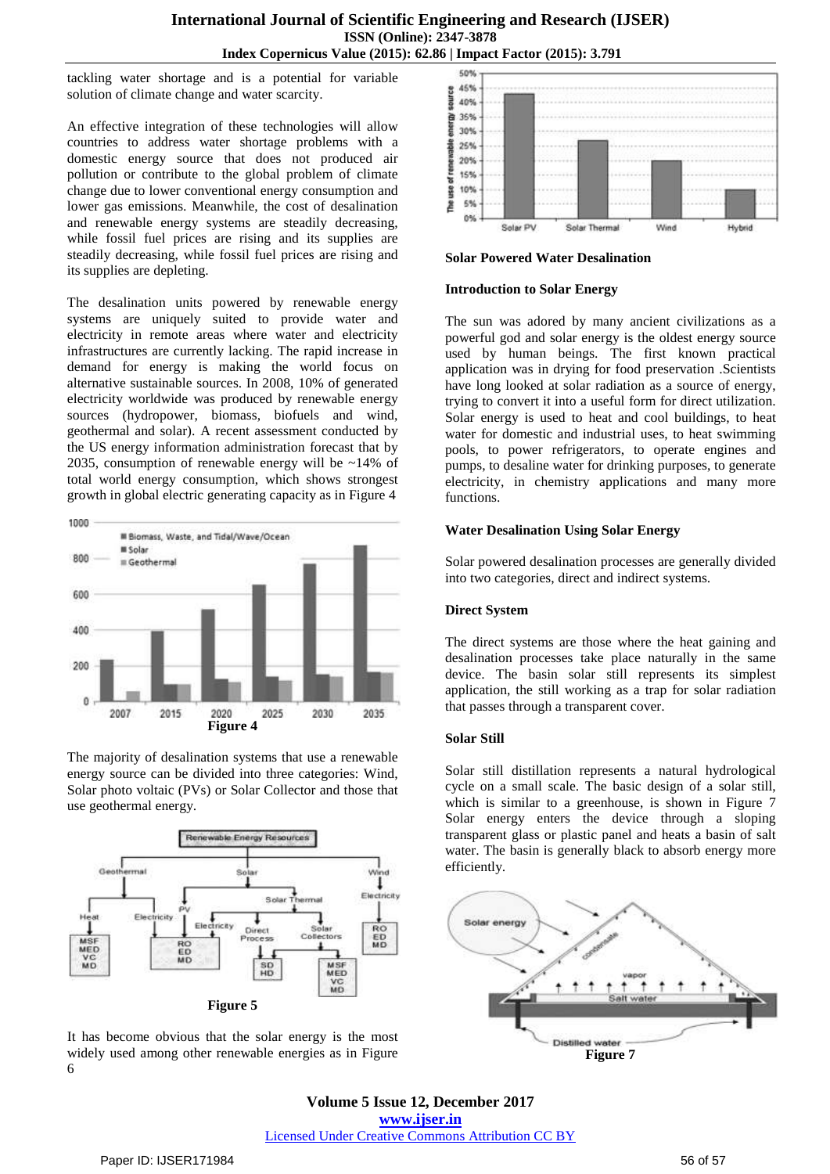tackling water shortage and is a potential for variable solution of climate change and water scarcity.

An effective integration of these technologies will allow countries to address water shortage problems with a domestic energy source that does not produced air pollution or contribute to the global problem of climate change due to lower conventional energy consumption and lower gas emissions. Meanwhile, the cost of desalination and renewable energy systems are steadily decreasing, while fossil fuel prices are rising and its supplies are steadily decreasing, while fossil fuel prices are rising and its supplies are depleting.

The desalination units powered by renewable energy systems are uniquely suited to provide water and electricity in remote areas where water and electricity infrastructures are currently lacking. The rapid increase in demand for energy is making the world focus on alternative sustainable sources. In 2008, 10% of generated electricity worldwide was produced by renewable energy sources (hydropower, biomass, biofuels and wind, geothermal and solar). A recent assessment conducted by the US energy information administration forecast that by 2035, consumption of renewable energy will be ~14% of total world energy consumption, which shows strongest growth in global electric generating capacity as in Figure 4



The majority of desalination systems that use a renewable energy source can be divided into three categories: Wind, Solar photo voltaic (PVs) or Solar Collector and those that use geothermal energy.



It has become obvious that the solar energy is the most widely used among other renewable energies as in Figure 6



**Solar Powered Water Desalination**

#### **Introduction to Solar Energy**

The sun was adored by many ancient civilizations as a powerful god and solar energy is the oldest energy source used by human beings. The first known practical application was in drying for food preservation .Scientists have long looked at solar radiation as a source of energy, trying to convert it into a useful form for direct utilization. Solar energy is used to heat and cool buildings, to heat water for domestic and industrial uses, to heat swimming pools, to power refrigerators, to operate engines and pumps, to desaline water for drinking purposes, to generate electricity, in chemistry applications and many more functions.

#### **Water Desalination Using Solar Energy**

Solar powered desalination processes are generally divided into two categories, direct and indirect systems.

## **Direct System**

The direct systems are those where the heat gaining and desalination processes take place naturally in the same device. The basin solar still represents its simplest application, the still working as a trap for solar radiation that passes through a transparent cover.

#### **Solar Still**

Solar still distillation represents a natural hydrological cycle on a small scale. The basic design of a solar still, which is similar to a greenhouse, is shown in Figure 7 Solar energy enters the device through a sloping transparent glass or plastic panel and heats a basin of salt water. The basin is generally black to absorb energy more efficiently.



**Volume 5 Issue 12, December 2017 <www.ijser.in>** [Licensed Under Creative Commons Attribution CC BY](http://creativecommons.org/licenses/by/4.0/)